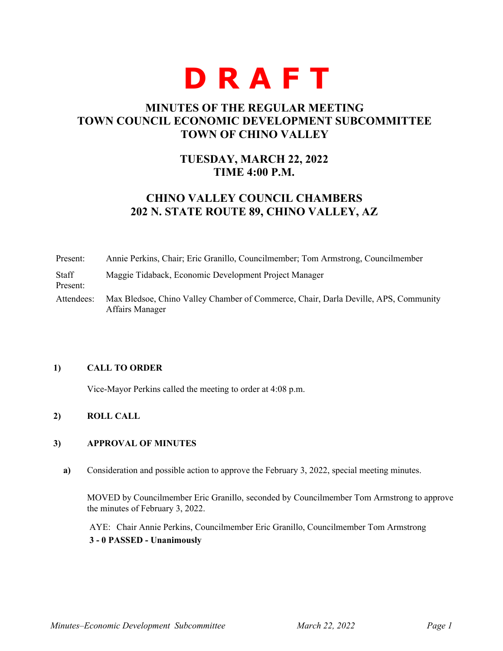# **D R A F T**

## **MINUTES OF THE REGULAR MEETING TOWN COUNCIL ECONOMIC DEVELOPMENT SUBCOMMITTEE TOWN OF CHINO VALLEY**

## **TUESDAY, MARCH 22, 2022 TIME 4:00 P.M.**

# **CHINO VALLEY COUNCIL CHAMBERS 202 N. STATE ROUTE 89, CHINO VALLEY, AZ**

Present: Annie Perkins, Chair; Eric Granillo, Councilmember; Tom Armstrong, Councilmember Staff Present: Maggie Tidaback, Economic Development Project Manager Attendees: Max Bledsoe, Chino Valley Chamber of Commerce, Chair, Darla Deville, APS, Community Affairs Manager

#### **1) CALL TO ORDER**

Vice-Mayor Perkins called the meeting to order at 4:08 p.m.

## **2) ROLL CALL**

#### **3) APPROVAL OF MINUTES**

**a)** Consideration and possible action to approve the February 3, 2022, special meeting minutes.

MOVED by Councilmember Eric Granillo, seconded by Councilmember Tom Armstrong to approve the minutes of February 3, 2022.

AYE: Chair Annie Perkins, Councilmember Eric Granillo, Councilmember Tom Armstrong **3 - 0 PASSED - Unanimously**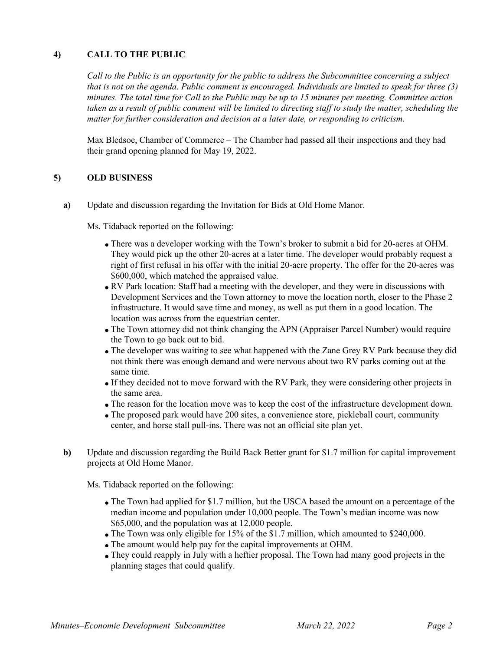### **4) CALL TO THE PUBLIC**

*Call to the Public is an opportunity for the public to address the Subcommittee concerning a subject that is not on the agenda. Public comment is encouraged. Individuals are limited to speak for three (3) minutes. The total time for Call to the Public may be up to 15 minutes per meeting. Committee action taken as a result of public comment will be limited to directing staff to study the matter, scheduling the matter for further consideration and decision at a later date, or responding to criticism.*

Max Bledsoe, Chamber of Commerce – The Chamber had passed all their inspections and they had their grand opening planned for May 19, 2022.

#### **5) OLD BUSINESS**

**a)** Update and discussion regarding the Invitation for Bids at Old Home Manor.

Ms. Tidaback reported on the following:

- There was a developer working with the Town's broker to submit a bid for 20-acres at OHM. They would pick up the other 20-acres at a later time. The developer would probably request a right of first refusal in his offer with the initial 20-acre property. The offer for the 20-acres was \$600,000, which matched the appraised value.
- RV Park location: Staff had a meeting with the developer, and they were in discussions with Development Services and the Town attorney to move the location north, closer to the Phase 2 infrastructure. It would save time and money, as well as put them in a good location. The location was across from the equestrian center.
- The Town attorney did not think changing the APN (Appraiser Parcel Number) would require the Town to go back out to bid.
- The developer was waiting to see what happened with the Zane Grey RV Park because they did not think there was enough demand and were nervous about two RV parks coming out at the same time.
- If they decided not to move forward with the RV Park, they were considering other projects in the same area.
- The reason for the location move was to keep the cost of the infrastructure development down.
- The proposed park would have 200 sites, a convenience store, pickleball court, community center, and horse stall pull-ins. There was not an official site plan yet.
- **b)** Update and discussion regarding the Build Back Better grant for \$1.7 million for capital improvement projects at Old Home Manor.

Ms. Tidaback reported on the following:

- The Town had applied for \$1.7 million, but the USCA based the amount on a percentage of the median income and population under 10,000 people. The Town's median income was now \$65,000, and the population was at 12,000 people.
- The Town was only eligible for 15% of the \$1.7 million, which amounted to \$240,000.
- The amount would help pay for the capital improvements at OHM.
- They could reapply in July with a heftier proposal. The Town had many good projects in the planning stages that could qualify.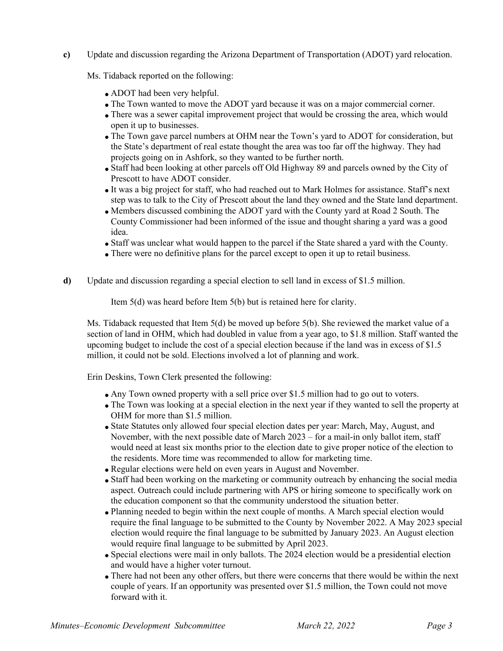#### **c)** Update and discussion regarding the Arizona Department of Transportation (ADOT) yard relocation.

Ms. Tidaback reported on the following:

- ADOT had been very helpful.
- The Town wanted to move the ADOT yard because it was on a major commercial corner.
- There was a sewer capital improvement project that would be crossing the area, which would open it up to businesses.
- The Town gave parcel numbers at OHM near the Town's yard to ADOT for consideration, but the State's department of real estate thought the area was too far off the highway. They had projects going on in Ashfork, so they wanted to be further north.
- Staff had been looking at other parcels off Old Highway 89 and parcels owned by the City of Prescott to have ADOT consider.
- It was a big project for staff, who had reached out to Mark Holmes for assistance. Staff's next step was to talk to the City of Prescott about the land they owned and the State land department.
- Members discussed combining the ADOT yard with the County yard at Road 2 South. The County Commissioner had been informed of the issue and thought sharing a yard was a good idea.
- Staff was unclear what would happen to the parcel if the State shared a yard with the County.
- There were no definitive plans for the parcel except to open it up to retail business.
- **d)** Update and discussion regarding a special election to sell land in excess of \$1.5 million.

Item 5(d) was heard before Item 5(b) but is retained here for clarity.

Ms. Tidaback requested that Item 5(d) be moved up before 5(b). She reviewed the market value of a section of land in OHM, which had doubled in value from a year ago, to \$1.8 million. Staff wanted the upcoming budget to include the cost of a special election because if the land was in excess of \$1.5 million, it could not be sold. Elections involved a lot of planning and work.

Erin Deskins, Town Clerk presented the following:

- Any Town owned property with a sell price over \$1.5 million had to go out to voters.
- The Town was looking at a special election in the next year if they wanted to sell the property at OHM for more than \$1.5 million.
- State Statutes only allowed four special election dates per year: March, May, August, and November, with the next possible date of March 2023 – for a mail-in only ballot item, staff would need at least six months prior to the election date to give proper notice of the election to the residents. More time was recommended to allow for marketing time.
- Regular elections were held on even years in August and November.
- Staff had been working on the marketing or community outreach by enhancing the social media aspect. Outreach could include partnering with APS or hiring someone to specifically work on the education component so that the community understood the situation better.
- Planning needed to begin within the next couple of months. A March special election would require the final language to be submitted to the County by November 2022. A May 2023 special election would require the final language to be submitted by January 2023. An August election would require final language to be submitted by April 2023.
- Special elections were mail in only ballots. The 2024 election would be a presidential election and would have a higher voter turnout.
- There had not been any other offers, but there were concerns that there would be within the next couple of years. If an opportunity was presented over \$1.5 million, the Town could not move forward with it.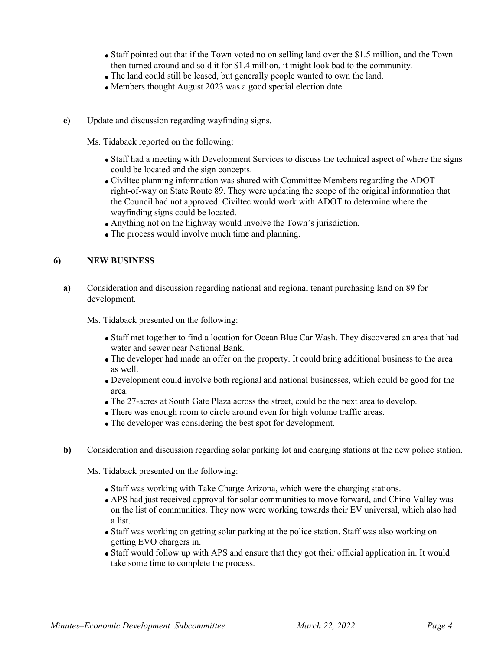- Staff pointed out that if the Town voted no on selling land over the \$1.5 million, and the Town then turned around and sold it for \$1.4 million, it might look bad to the community.
- The land could still be leased, but generally people wanted to own the land.
- Members thought August 2023 was a good special election date.
- **e)** Update and discussion regarding wayfinding signs.

Ms. Tidaback reported on the following:

- Staff had a meeting with Development Services to discuss the technical aspect of where the signs could be located and the sign concepts.
- Civiltec planning information was shared with Committee Members regarding the ADOT right-of-way on State Route 89. They were updating the scope of the original information that the Council had not approved. Civiltec would work with ADOT to determine where the wayfinding signs could be located.
- Anything not on the highway would involve the Town's jurisdiction.
- The process would involve much time and planning.

#### **6) NEW BUSINESS**

**a)** Consideration and discussion regarding national and regional tenant purchasing land on 89 for development.

Ms. Tidaback presented on the following:

- Staff met together to find a location for Ocean Blue Car Wash. They discovered an area that had water and sewer near National Bank.
- The developer had made an offer on the property. It could bring additional business to the area as well.
- Development could involve both regional and national businesses, which could be good for the area.
- The 27-acres at South Gate Plaza across the street, could be the next area to develop.
- There was enough room to circle around even for high volume traffic areas.
- The developer was considering the best spot for development.
- **b)** Consideration and discussion regarding solar parking lot and charging stations at the new police station.

Ms. Tidaback presented on the following:

- Staff was working with Take Charge Arizona, which were the charging stations.
- APS had just received approval for solar communities to move forward, and Chino Valley was on the list of communities. They now were working towards their EV universal, which also had a list.
- Staff was working on getting solar parking at the police station. Staff was also working on getting EVO chargers in.
- Staff would follow up with APS and ensure that they got their official application in. It would take some time to complete the process.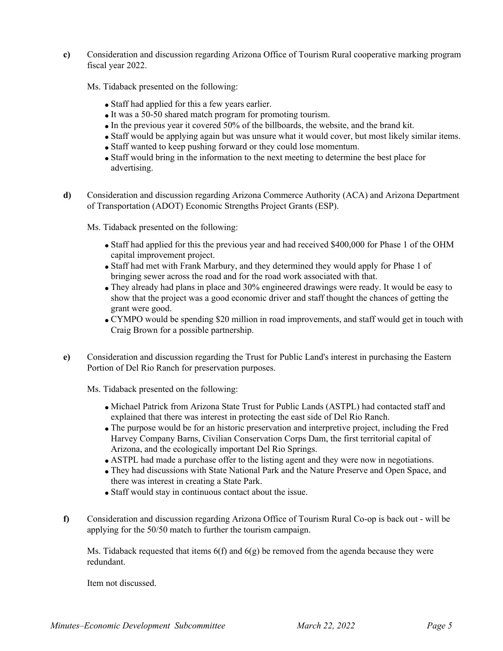**c)** Consideration and discussion regarding Arizona Office of Tourism Rural cooperative marking program fiscal year 2022.

Ms. Tidaback presented on the following:

- Staff had applied for this a few years earlier.
- It was a 50-50 shared match program for promoting tourism.
- In the previous year it covered 50% of the billboards, the website, and the brand kit.
- Staff would be applying again but was unsure what it would cover, but most likely similar items.
- Staff wanted to keep pushing forward or they could lose momentum.
- Staff would bring in the information to the next meeting to determine the best place for advertising.
- **d)** Consideration and discussion regarding Arizona Commerce Authority (ACA) and Arizona Department of Transportation (ADOT) Economic Strengths Project Grants (ESP).

Ms. Tidaback presented on the following:

- Staff had applied for this the previous year and had received \$400,000 for Phase 1 of the OHM capital improvement project.
- Staff had met with Frank Marbury, and they determined they would apply for Phase 1 of bringing sewer across the road and for the road work associated with that.
- They already had plans in place and 30% engineered drawings were ready. It would be easy to show that the project was a good economic driver and staff thought the chances of getting the grant were good.
- CYMPO would be spending \$20 million in road improvements, and staff would get in touch with Craig Brown for a possible partnership.
- **e)** Consideration and discussion regarding the Trust for Public Land's interest in purchasing the Eastern Portion of Del Rio Ranch for preservation purposes.

Ms. Tidaback presented on the following:

- Michael Patrick from Arizona State Trust for Public Lands (ASTPL) had contacted staff and explained that there was interest in protecting the east side of Del Rio Ranch.
- The purpose would be for an historic preservation and interpretive project, including the Fred Harvey Company Barns, Civilian Conservation Corps Dam, the first territorial capital of Arizona, and the ecologically important Del Rio Springs.
- ASTPL had made a purchase offer to the listing agent and they were now in negotiations.
- They had discussions with State National Park and the Nature Preserve and Open Space, and there was interest in creating a State Park.
- Staff would stay in continuous contact about the issue.
- **f)** Consideration and discussion regarding Arizona Office of Tourism Rural Co-op is back out will be applying for the 50/50 match to further the tourism campaign.

Ms. Tidaback requested that items  $6(f)$  and  $6(g)$  be removed from the agenda because they were redundant.

Item not discussed.